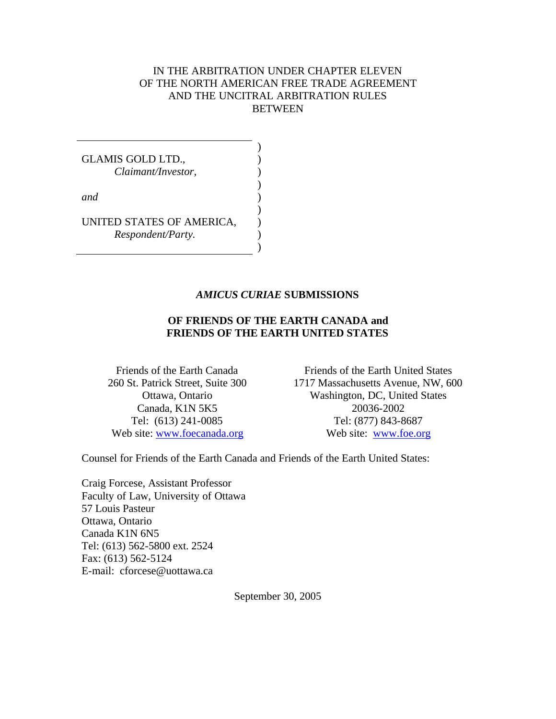#### IN THE ARBITRATION UNDER CHAPTER ELEVEN OF THE NORTH AMERICAN FREE TRADE AGREEMENT AND THE UNCITRAL ARBITRATION RULES BETWEEN

GLAMIS GOLD LTD., *Claimant/Investor, and* UNITED STATES OF AMERICA, *Respondent/Party.* ) ) ) ) ) ) ) ) )

#### *AMICUS CURIAE* **SUBMISSIONS**

#### **OF FRIENDS OF THE EARTH CANADA and FRIENDS OF THE EARTH UNITED STATES**

Friends of the Earth Canada 260 St. Patrick Street, Suite 300 Ottawa, Ontario Canada, K1N 5K5 Tel: (613) 241-0085 Web site: www.foecanada.org

Friends of the Earth United States 1717 Massachusetts Avenue, NW, 600 Washington, DC, United States 20036-2002 Tel: (877) 843-8687 Web site: www.foe.org

Counsel for Friends of the Earth Canada and Friends of the Earth United States:

Craig Forcese, Assistant Professor Faculty of Law, University of Ottawa 57 Louis Pasteur Ottawa, Ontario Canada K1N 6N5 Tel: (613) 562-5800 ext. 2524 Fax: (613) 562-5124 E-mail: cforcese@uottawa.ca

September 30, 2005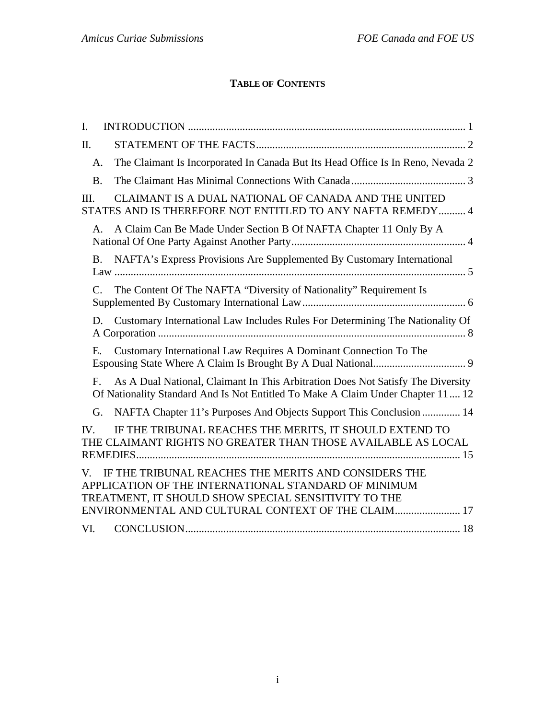# **TABLE OF CONTENTS**

| $\mathbf{I}$ . |                                                                                                                                                                                                                            |
|----------------|----------------------------------------------------------------------------------------------------------------------------------------------------------------------------------------------------------------------------|
| Π.             |                                                                                                                                                                                                                            |
| A.             | The Claimant Is Incorporated In Canada But Its Head Office Is In Reno, Nevada 2                                                                                                                                            |
| <b>B.</b>      |                                                                                                                                                                                                                            |
| III.           | CLAIMANT IS A DUAL NATIONAL OF CANADA AND THE UNITED<br>STATES AND IS THEREFORE NOT ENTITLED TO ANY NAFTA REMEDY 4                                                                                                         |
| $A_{-}$        | A Claim Can Be Made Under Section B Of NAFTA Chapter 11 Only By A                                                                                                                                                          |
|                | NAFTA's Express Provisions Are Supplemented By Customary International<br>B.                                                                                                                                               |
| $C_{\cdot}$    | The Content Of The NAFTA "Diversity of Nationality" Requirement Is                                                                                                                                                         |
| D.             | Customary International Law Includes Rules For Determining The Nationality Of                                                                                                                                              |
| Ε.             | Customary International Law Requires A Dominant Connection To The                                                                                                                                                          |
| $F_{\cdot}$    | As A Dual National, Claimant In This Arbitration Does Not Satisfy The Diversity<br>Of Nationality Standard And Is Not Entitled To Make A Claim Under Chapter 11 12                                                         |
| G.             | NAFTA Chapter 11's Purposes And Objects Support This Conclusion  14                                                                                                                                                        |
| IV.            | IF THE TRIBUNAL REACHES THE MERITS, IT SHOULD EXTEND TO<br>THE CLAIMANT RIGHTS NO GREATER THAN THOSE AVAILABLE AS LOCAL                                                                                                    |
| V.             | IF THE TRIBUNAL REACHES THE MERITS AND CONSIDERS THE<br>APPLICATION OF THE INTERNATIONAL STANDARD OF MINIMUM<br>TREATMENT, IT SHOULD SHOW SPECIAL SENSITIVITY TO THE<br>ENVIRONMENTAL AND CULTURAL CONTEXT OF THE CLAIM 17 |
| VI.            |                                                                                                                                                                                                                            |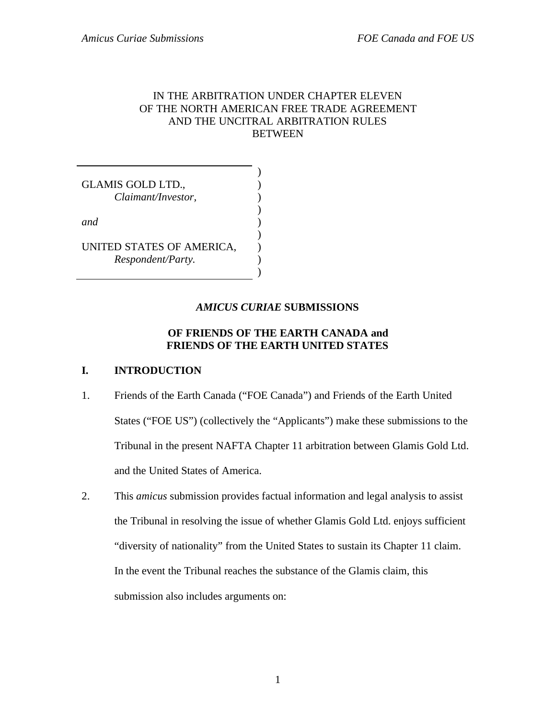### IN THE ARBITRATION UNDER CHAPTER ELEVEN OF THE NORTH AMERICAN FREE TRADE AGREEMENT AND THE UNCITRAL ARBITRATION RULES **BETWEEN**

| <b>GLAMIS GOLD LTD.,</b><br>Claimant/Investor, |  |
|------------------------------------------------|--|
| and                                            |  |
| UNITED STATES OF AMERICA,<br>Respondent/Party. |  |

#### *AMICUS CURIAE* **SUBMISSIONS**

### **OF FRIENDS OF THE EARTH CANADA and FRIENDS OF THE EARTH UNITED STATES**

#### **I. INTRODUCTION**

- 1. Friends of the Earth Canada ("FOE Canada") and Friends of the Earth United States ("FOE US") (collectively the "Applicants") make these submissions to the Tribunal in the present NAFTA Chapter 11 arbitration between Glamis Gold Ltd. and the United States of America.
- 2. This *amicus* submission provides factual information and legal analysis to assist the Tribunal in resolving the issue of whether Glamis Gold Ltd. enjoys sufficient "diversity of nationality" from the United States to sustain its Chapter 11 claim. In the event the Tribunal reaches the substance of the Glamis claim, this submission also includes arguments on: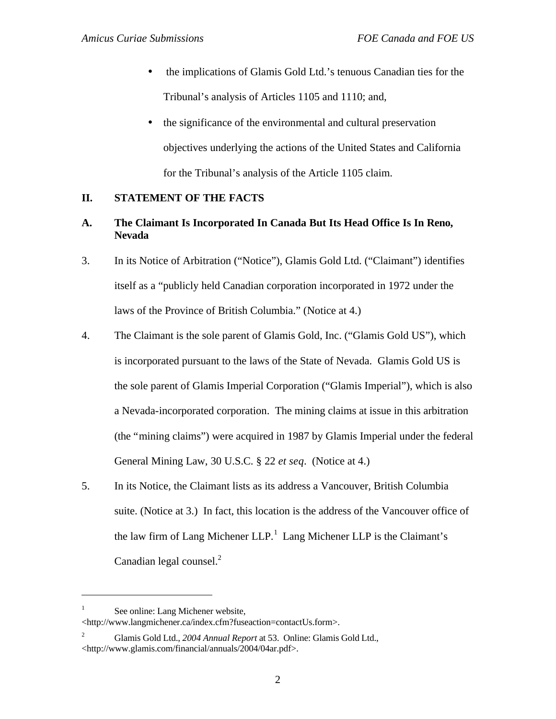- the implications of Glamis Gold Ltd.'s tenuous Canadian ties for the Tribunal's analysis of Articles 1105 and 1110; and,
- the significance of the environmental and cultural preservation objectives underlying the actions of the United States and California for the Tribunal's analysis of the Article 1105 claim.

### **II. STATEMENT OF THE FACTS**

- **A. The Claimant Is Incorporated In Canada But Its Head Office Is In Reno, Nevada**
- 3. In its Notice of Arbitration ("Notice"), Glamis Gold Ltd. ("Claimant") identifies itself as a "publicly held Canadian corporation incorporated in 1972 under the laws of the Province of British Columbia." (Notice at 4.)
- 4. The Claimant is the sole parent of Glamis Gold, Inc. ("Glamis Gold US"), which is incorporated pursuant to the laws of the State of Nevada. Glamis Gold US is the sole parent of Glamis Imperial Corporation ("Glamis Imperial"), which is also a Nevada-incorporated corporation. The mining claims at issue in this arbitration (the "mining claims") were acquired in 1987 by Glamis Imperial under the federal General Mining Law, 30 U.S.C. § 22 *et seq*. (Notice at 4.)
- 5. In its Notice, the Claimant lists as its address a Vancouver, British Columbia suite. (Notice at 3.) In fact, this location is the address of the Vancouver office of the law firm of Lang Michener  $LLP$ <sup>1</sup>. Lang Michener  $LLP$  is the Claimant's Canadian legal counsel.<sup>2</sup>

 $\overline{a}$ 

<sup>1</sup> See online: Lang Michener website, <http://www.langmichener.ca/index.cfm?fuseaction=contactUs.form>.

<sup>2</sup> Glamis Gold Ltd., *2004 Annual Report* at 53. Online: Glamis Gold Ltd., <http://www.glamis.com/financial/annuals/2004/04ar.pdf>.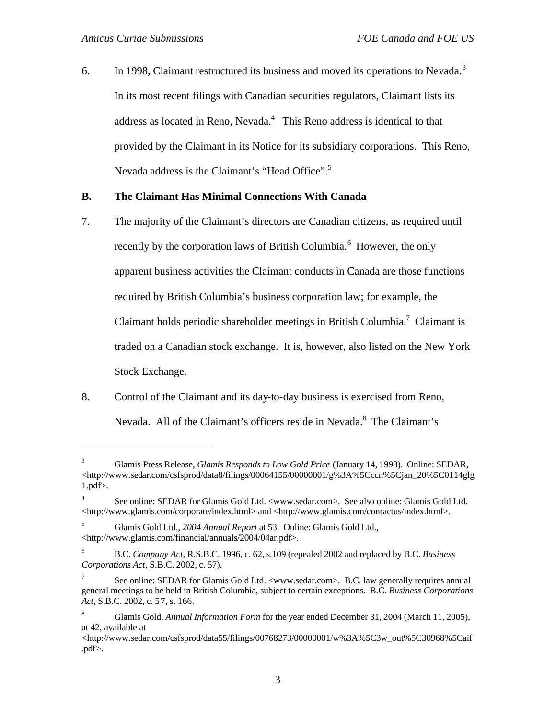$\overline{a}$ 

6. In 1998, Claimant restructured its business and moved its operations to Nevada.<sup>3</sup> In its most recent filings with Canadian securities regulators, Claimant lists its address as located in Reno, Nevada.<sup>4</sup> This Reno address is identical to that provided by the Claimant in its Notice for its subsidiary corporations. This Reno, Nevada address is the Claimant's "Head Office".<sup>5</sup>

### **B. The Claimant Has Minimal Connections With Canada**

- 7. The majority of the Claimant's directors are Canadian citizens, as required until recently by the corporation laws of British Columbia.<sup>6</sup> However, the only apparent business activities the Claimant conducts in Canada are those functions required by British Columbia's business corporation law; for example, the Claimant holds periodic shareholder meetings in British Columbia.<sup>7</sup> Claimant is traded on a Canadian stock exchange. It is, however, also listed on the New York Stock Exchange.
- 8. Control of the Claimant and its day-to-day business is exercised from Reno, Nevada. All of the Claimant's officers reside in Nevada.<sup>8</sup> The Claimant's

<sup>3</sup> Glamis Press Release, *Glamis Responds to Low Gold Price* (January 14, 1998). Online: SEDAR, <http://www.sedar.com/csfsprod/data8/filings/00064155/00000001/g%3A%5Cccn%5Cjan\_20%5C0114glg 1.pdf>.

<sup>4</sup> See online: SEDAR for Glamis Gold Ltd. <www.sedar.com>. See also online: Glamis Gold Ltd. <http://www.glamis.com/corporate/index.html> and <http://www.glamis.com/contactus/index.html>.

<sup>5</sup> Glamis Gold Ltd., *2004 Annual Report* at 53. Online: Glamis Gold Ltd., <http://www.glamis.com/financial/annuals/2004/04ar.pdf>.

<sup>6</sup> B.C. *Company Act,* R.S.B.C. 1996, c. 62, s.109 (repealed 2002 and replaced by B.C. *Business Corporations Act*, S.B.C. 2002, c. 57).

<sup>7</sup> See online: SEDAR for Glamis Gold Ltd. <www.sedar.com>. B.C. law generally requires annual general meetings to be held in British Columbia, subject to certain exceptions. B.C. *Business Corporations Act*, S.B.C. 2002, c. 57, s. 166.

<sup>8</sup> Glamis Gold, *Annual Information Form* for the year ended December 31, 2004 (March 11, 2005), at 42, available at

<sup>&</sup>lt;http://www.sedar.com/csfsprod/data55/filings/00768273/0000001/w%3A%5C3w\_out%5C30968%5Caif .pdf>.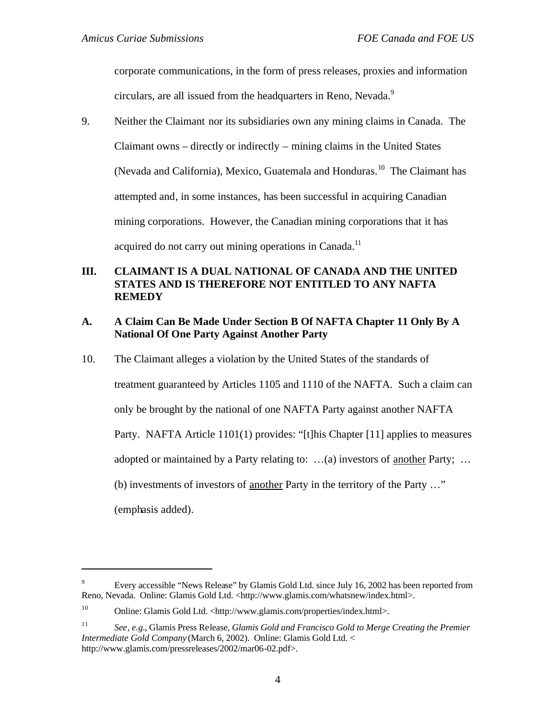corporate communications, in the form of press releases, proxies and information circulars, are all issued from the headquarters in Reno, Nevada.<sup>9</sup>

9. Neither the Claimant nor its subsidiaries own any mining claims in Canada. The Claimant owns – directly or indirectly – mining claims in the United States (Nevada and California), Mexico, Guatemala and Honduras.<sup>10</sup> The Claimant has attempted and, in some instances, has been successful in acquiring Canadian mining corporations. However, the Canadian mining corporations that it has acquired do not carry out mining operations in Canada.<sup>11</sup>

### **III. CLAIMANT IS A DUAL NATIONAL OF CANADA AND THE UNITED STATES AND IS THEREFORE NOT ENTITLED TO ANY NAFTA REMEDY**

#### **A. A Claim Can Be Made Under Section B Of NAFTA Chapter 11 Only By A National Of One Party Against Another Party**

10. The Claimant alleges a violation by the United States of the standards of treatment guaranteed by Articles 1105 and 1110 of the NAFTA. Such a claim can only be brought by the national of one NAFTA Party against another NAFTA Party. NAFTA Article 1101(1) provides: "[t]his Chapter [11] applies to measures adopted or maintained by a Party relating to: ...(a) investors of <u>another</u> Party; ... (b) investments of investors of another Party in the territory of the Party …"

(emphasis added).

 $\overline{a}$ 

<sup>9</sup> Every accessible "News Release" by Glamis Gold Ltd. since July 16, 2002 has been reported from Reno, Nevada. Online: Glamis Gold Ltd. <http://www.glamis.com/whatsnew/index.html>.

<sup>&</sup>lt;sup>10</sup> Online: Glamis Gold Ltd. <http://www.glamis.com/properties/index.html>.

<sup>11</sup> *See*, *e.g.*, Glamis Press Release, *Glamis Gold and Francisco Gold to Merge Creating the Premier Intermediate Gold Company* (March 6, 2002). Online: Glamis Gold Ltd. < http://www.glamis.com/pressreleases/2002/mar06-02.pdf>.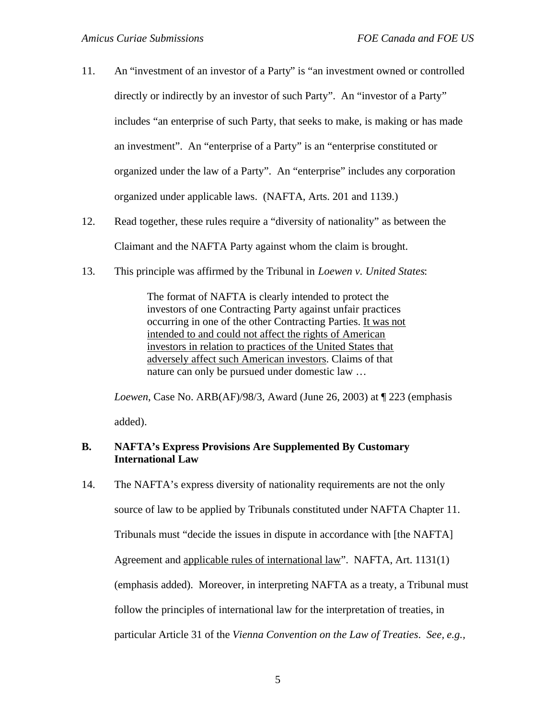- 11. An "investment of an investor of a Party" is "an investment owned or controlled directly or indirectly by an investor of such Party". An "investor of a Party" includes "an enterprise of such Party, that seeks to make, is making or has made an investment". An "enterprise of a Party" is an "enterprise constituted or organized under the law of a Party". An "enterprise" includes any corporation organized under applicable laws. (NAFTA, Arts. 201 and 1139.)
- 12. Read together, these rules require a "diversity of nationality" as between the Claimant and the NAFTA Party against whom the claim is brought.
- 13. This principle was affirmed by the Tribunal in *Loewen v. United States*:

The format of NAFTA is clearly intended to protect the investors of one Contracting Party against unfair practices occurring in one of the other Contracting Parties. It was not intended to and could not affect the rights of American investors in relation to practices of the United States that adversely affect such American investors. Claims of that nature can only be pursued under domestic law …

*Loewen*, Case No. ARB(AF)/98/3, Award (June 26, 2003) at ¶ 223 (emphasis added).

### **B. NAFTA's Express Provisions Are Supplemented By Customary International Law**

14. The NAFTA's express diversity of nationality requirements are not the only source of law to be applied by Tribunals constituted under NAFTA Chapter 11. Tribunals must "decide the issues in dispute in accordance with [the NAFTA] Agreement and applicable rules of international law". NAFTA, Art. 1131(1) (emphasis added). Moreover, in interpreting NAFTA as a treaty, a Tribunal must follow the principles of international law for the interpretation of treaties, in particular Article 31 of the *Vienna Convention on the Law of Treaties*. *See, e.g.,*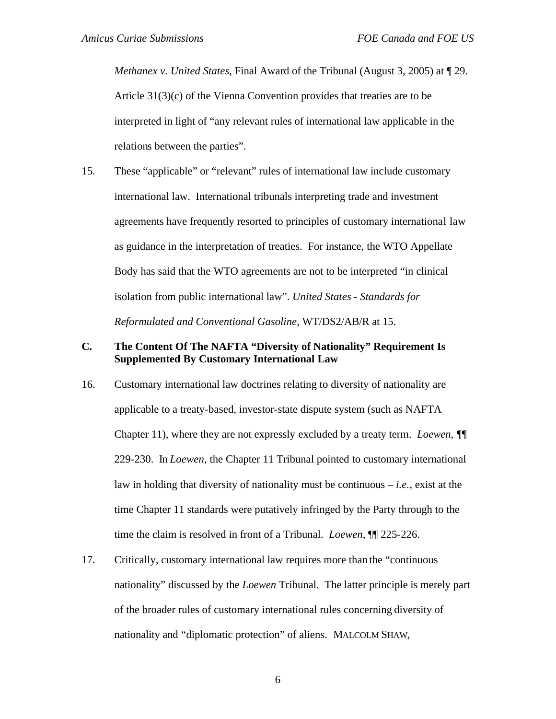*Methanex v. United States*, Final Award of the Tribunal (August 3, 2005) at ¶ 29. Article 31(3)(c) of the Vienna Convention provides that treaties are to be interpreted in light of "any relevant rules of international law applicable in the relations between the parties".

15. These "applicable" or "relevant" rules of international law include customary international law. International tribunals interpreting trade and investment agreements have frequently resorted to principles of customary international law as guidance in the interpretation of treaties. For instance, the WTO Appellate Body has said that the WTO agreements are not to be interpreted "in clinical isolation from public international law". *United States - Standards for Reformulated and Conventional Gasoline*, WT/DS2/AB/R at 15.

### **C. The Content Of The NAFTA "Diversity of Nationality" Requirement Is Supplemented By Customary International Law**

- 16. Customary international law doctrines relating to diversity of nationality are applicable to a treaty-based, investor-state dispute system (such as NAFTA Chapter 11), where they are not expressly excluded by a treaty term. *Loewen, ¶*¶ 229-230. In *Loewen*, the Chapter 11 Tribunal pointed to customary international law in holding that diversity of nationality must be continuous – *i.e.*, exist at the time Chapter 11 standards were putatively infringed by the Party through to the time the claim is resolved in front of a Tribunal. *Loewen*, ¶¶ 225-226.
- 17. Critically, customary international law requires more than the "continuous nationality" discussed by the *Loewen* Tribunal. The latter principle is merely part of the broader rules of customary international rules concerning diversity of nationality and "diplomatic protection" of aliens. MALCOLM SHAW,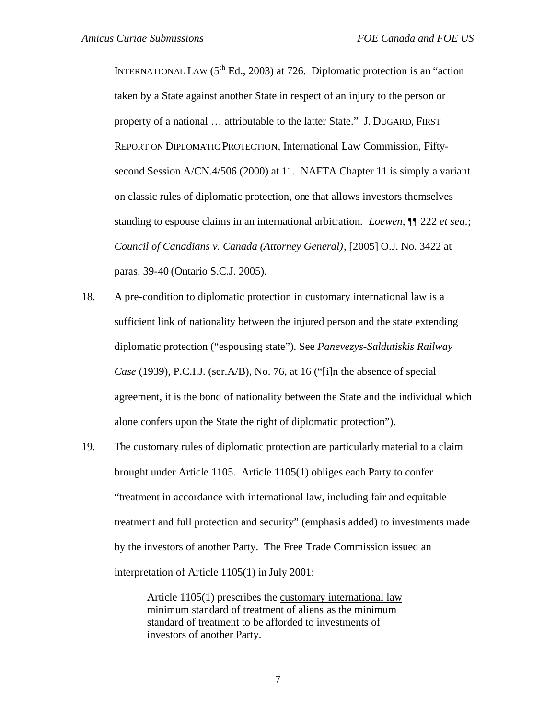INTERNATIONAL LAW  $(5^{th}$  Ed., 2003) at 726. Diplomatic protection is an "action" taken by a State against another State in respect of an injury to the person or property of a national … attributable to the latter State." J. DUGARD, FIRST REPORT ON DIPLOMATIC PROTECTION, International Law Commission, Fiftysecond Session A/CN.4/506 (2000) at 11. NAFTA Chapter 11 is simply a variant on classic rules of diplomatic protection, one that allows investors themselves standing to espouse claims in an international arbitration. *Loewen*, ¶¶ 222 *et seq.*; *Council of Canadians v. Canada (Attorney General)*, [2005] O.J. No. 3422 at paras. 39-40 (Ontario S.C.J. 2005).

- 18. A pre-condition to diplomatic protection in customary international law is a sufficient link of nationality between the injured person and the state extending diplomatic protection ("espousing state"). See *Panevezys-Saldutiskis Railway Case* (1939), P.C.I.J. (ser.A/B), No. 76, at 16 ("[i]n the absence of special agreement, it is the bond of nationality between the State and the individual which alone confers upon the State the right of diplomatic protection").
- 19. The customary rules of diplomatic protection are particularly material to a claim brought under Article 1105. Article 1105(1) obliges each Party to confer "treatment in accordance with international law, including fair and equitable treatment and full protection and security" (emphasis added) to investments made by the investors of another Party. The Free Trade Commission issued an interpretation of Article 1105(1) in July 2001:

Article 1105(1) prescribes the customary international law minimum standard of treatment of aliens as the minimum standard of treatment to be afforded to investments of investors of another Party.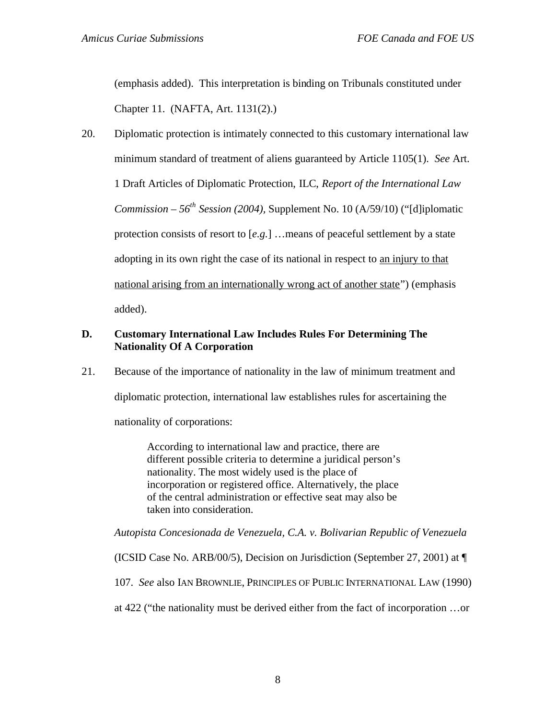(emphasis added). This interpretation is binding on Tribunals constituted under Chapter 11. (NAFTA, Art. 1131(2).)

20. Diplomatic protection is intimately connected to this customary international law minimum standard of treatment of aliens guaranteed by Article 1105(1). *See* Art. 1 Draft Articles of Diplomatic Protection, ILC, *Report of the International Law Commission – 56th Session (2004),* Supplement No. 10 (A/59/10) ("[d]iplomatic protection consists of resort to [*e.g.*] …means of peaceful settlement by a state adopting in its own right the case of its national in respect to an injury to that national arising from an internationally wrong act of another state") (emphasis added).

#### **D. Customary International Law Includes Rules For Determining The Nationality Of A Corporation**

21. Because of the importance of nationality in the law of minimum treatment and diplomatic protection, international law establishes rules for ascertaining the nationality of corporations:

> According to international law and practice, there are different possible criteria to determine a juridical person's nationality. The most widely used is the place of incorporation or registered office. Alternatively, the place of the central administration or effective seat may also be taken into consideration.

*Autopista Concesionada de Venezuela, C.A. v. Bolivarian Republic of Venezuela*

(ICSID Case No. ARB/00/5), Decision on Jurisdiction (September 27, 2001) at ¶

107. *See* also IAN BROWNLIE, PRINCIPLES OF PUBLIC INTERNATIONAL LAW (1990)

at 422 ("the nationality must be derived either from the fact of incorporation …or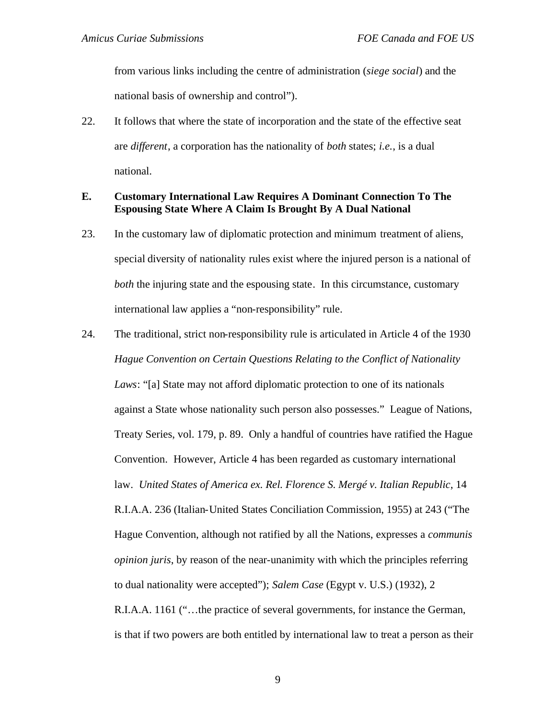from various links including the centre of administration (*siege social*) and the national basis of ownership and control").

22. It follows that where the state of incorporation and the state of the effective seat are *different*, a corporation has the nationality of *both* states; *i.e.*, is a dual national.

#### **E. Customary International Law Requires A Dominant Connection To The Espousing State Where A Claim Is Brought By A Dual National**

- 23. In the customary law of diplomatic protection and minimum treatment of aliens, special diversity of nationality rules exist where the injured person is a national of *both* the injuring state and the espousing state. In this circumstance, customary international law applies a "non-responsibility" rule.
- 24. The traditional, strict non-responsibility rule is articulated in Article 4 of the 1930 *Hague Convention on Certain Questions Relating to the Conflict of Nationality Laws*: "[a] State may not afford diplomatic protection to one of its nationals against a State whose nationality such person also possesses." League of Nations, Treaty Series, vol. 179, p. 89. Only a handful of countries have ratified the Hague Convention. However, Article 4 has been regarded as customary international law. *United States of America ex. Rel. Florence S. Mergé v. Italian Republic*, 14 R.I.A.A. 236 (Italian-United States Conciliation Commission, 1955) at 243 ("The Hague Convention, although not ratified by all the Nations, expresses a *communis opinion juris*, by reason of the near-unanimity with which the principles referring to dual nationality were accepted"); *Salem Case* (Egypt v. U.S.) (1932), 2 R.I.A.A. 1161 ("…the practice of several governments, for instance the German, is that if two powers are both entitled by international law to treat a person as their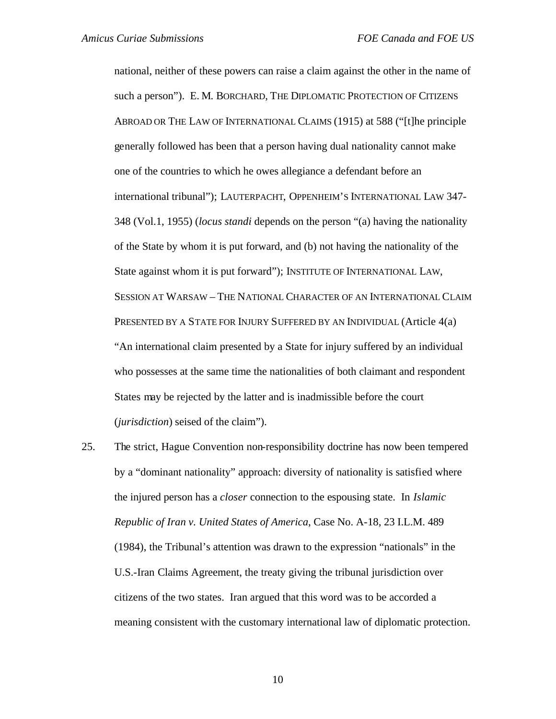national, neither of these powers can raise a claim against the other in the name of such a person"). E. M. BORCHARD, THE DIPLOMATIC PROTECTION OF CITIZENS ABROAD OR THE LAW OF INTERNATIONAL CLAIMS (1915) at 588 ("[t]he principle generally followed has been that a person having dual nationality cannot make one of the countries to which he owes allegiance a defendant before an international tribunal"); LAUTERPACHT, OPPENHEIM'S INTERNATIONAL LAW 347- 348 (Vol.1, 1955) (*locus standi* depends on the person "(a) having the nationality of the State by whom it is put forward, and (b) not having the nationality of the State against whom it is put forward"); INSTITUTE OF INTERNATIONAL LAW, SESSION AT WARSAW – THE NATIONAL CHARACTER OF AN INTERNATIONAL CLAIM PRESENTED BY A STATE FOR INJURY SUFFERED BY AN INDIVIDUAL (Article 4(a) "An international claim presented by a State for injury suffered by an individual who possesses at the same time the nationalities of both claimant and respondent States may be rejected by the latter and is inadmissible before the court (*jurisdiction*) seised of the claim").

25. The strict, Hague Convention non-responsibility doctrine has now been tempered by a "dominant nationality" approach: diversity of nationality is satisfied where the injured person has a *closer* connection to the espousing state. In *Islamic Republic of Iran v. United States of America*, Case No. A-18, 23 I.L.M. 489 (1984), the Tribunal's attention was drawn to the expression "nationals" in the U.S.-Iran Claims Agreement, the treaty giving the tribunal jurisdiction over citizens of the two states. Iran argued that this word was to be accorded a meaning consistent with the customary international law of diplomatic protection.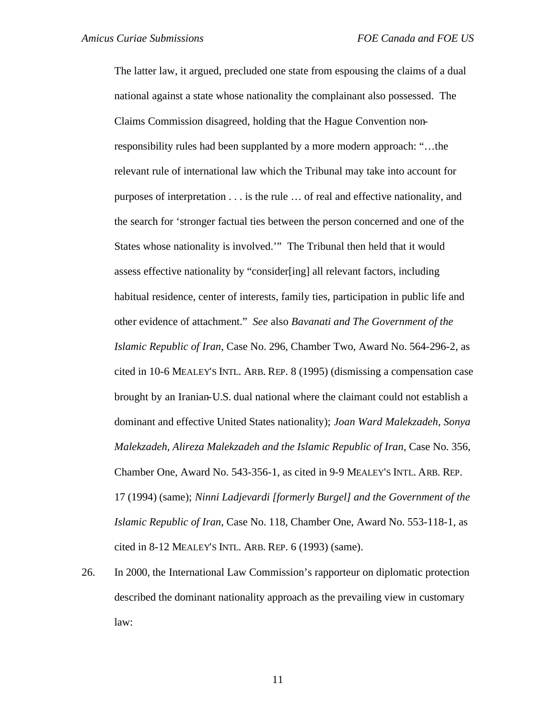The latter law, it argued, precluded one state from espousing the claims of a dual national against a state whose nationality the complainant also possessed. The Claims Commission disagreed, holding that the Hague Convention nonresponsibility rules had been supplanted by a more modern approach: "…the relevant rule of international law which the Tribunal may take into account for purposes of interpretation . . . is the rule … of real and effective nationality, and the search for 'stronger factual ties between the person concerned and one of the States whose nationality is involved.'" The Tribunal then held that it would assess effective nationality by "consider[ing] all relevant factors, including habitual residence, center of interests, family ties, participation in public life and other evidence of attachment." *See* also *Bavanati and The Government of the Islamic Republic of Iran*, Case No. 296, Chamber Two, Award No. 564-296-2, as cited in 10-6 MEALEY'S INTL. ARB. REP. 8 (1995) (dismissing a compensation case brought by an Iranian-U.S. dual national where the claimant could not establish a dominant and effective United States nationality); *Joan Ward Malekzadeh, Sonya Malekzadeh, Alireza Malekzadeh and the Islamic Republic of Iran*, Case No. 356, Chamber One, Award No. 543-356-1, as cited in 9-9 MEALEY'S INTL. ARB. REP. 17 (1994) (same); *Ninni Ladjevardi [formerly Burgel] and the Government of the Islamic Republic of Iran*, Case No. 118, Chamber One, Award No. 553-118-1, as cited in 8-12 MEALEY'S INTL. ARB. REP. 6 (1993) (same).

26. In 2000, the International Law Commission's rapporteur on diplomatic protection described the dominant nationality approach as the prevailing view in customary law: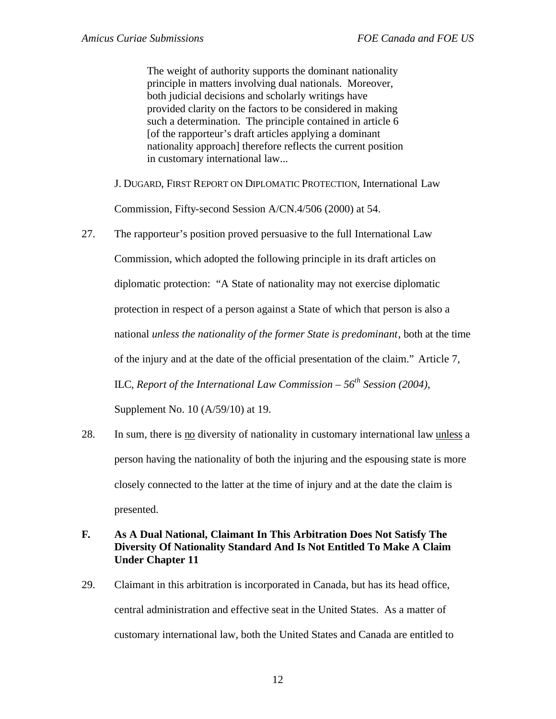The weight of authority supports the dominant nationality principle in matters involving dual nationals. Moreover, both judicial decisions and scholarly writings have provided clarity on the factors to be considered in making such a determination. The principle contained in article 6 [of the rapporteur's draft articles applying a dominant nationality approach] therefore reflects the current position in customary international law...

J. DUGARD, FIRST REPORT ON DIPLOMATIC PROTECTION, International Law

Commission, Fifty-second Session A/CN.4/506 (2000) at 54.

- 27. The rapporteur's position proved persuasive to the full International Law Commission, which adopted the following principle in its draft articles on diplomatic protection: "A State of nationality may not exercise diplomatic protection in respect of a person against a State of which that person is also a national *unless the nationality of the former State is predominant*, both at the time of the injury and at the date of the official presentation of the claim." Article 7, ILC, *Report of the International Law Commission – 56th Session (2004),*  Supplement No. 10 (A/59/10) at 19.
- 28. In sum, there is no diversity of nationality in customary international law unless a person having the nationality of both the injuring and the espousing state is more closely connected to the latter at the time of injury and at the date the claim is presented.

## **F. As A Dual National, Claimant In This Arbitration Does Not Satisfy The Diversity Of Nationality Standard And Is Not Entitled To Make A Claim Under Chapter 11**

29. Claimant in this arbitration is incorporated in Canada, but has its head office, central administration and effective seat in the United States. As a matter of customary international law, both the United States and Canada are entitled to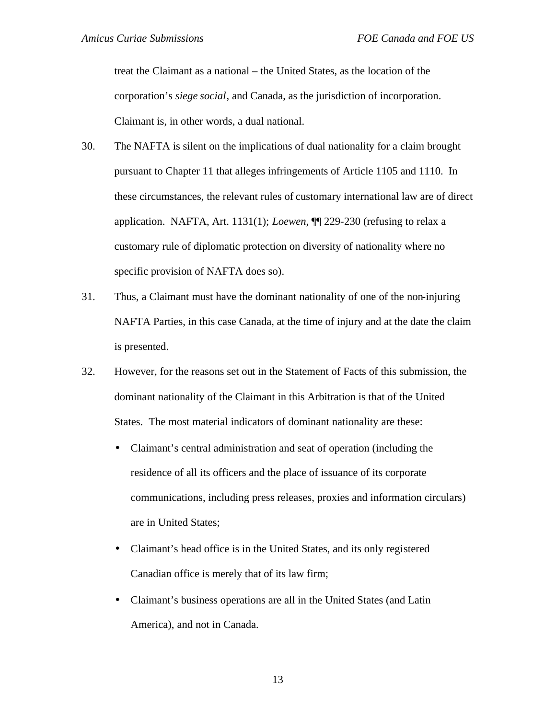treat the Claimant as a national – the United States, as the location of the corporation's *siege social*, and Canada, as the jurisdiction of incorporation. Claimant is, in other words, a dual national.

- 30. The NAFTA is silent on the implications of dual nationality for a claim brought pursuant to Chapter 11 that alleges infringements of Article 1105 and 1110. In these circumstances, the relevant rules of customary international law are of direct application. NAFTA, Art. 1131(1); *Loewen*, ¶¶ 229-230 (refusing to relax a customary rule of diplomatic protection on diversity of nationality where no specific provision of NAFTA does so).
- 31. Thus, a Claimant must have the dominant nationality of one of the non-injuring NAFTA Parties, in this case Canada, at the time of injury and at the date the claim is presented.
- 32. However, for the reasons set out in the Statement of Facts of this submission, the dominant nationality of the Claimant in this Arbitration is that of the United States. The most material indicators of dominant nationality are these:
	- Claimant's central administration and seat of operation (including the residence of all its officers and the place of issuance of its corporate communications, including press releases, proxies and information circulars) are in United States;
	- Claimant's head office is in the United States, and its only registered Canadian office is merely that of its law firm;
	- Claimant's business operations are all in the United States (and Latin America), and not in Canada.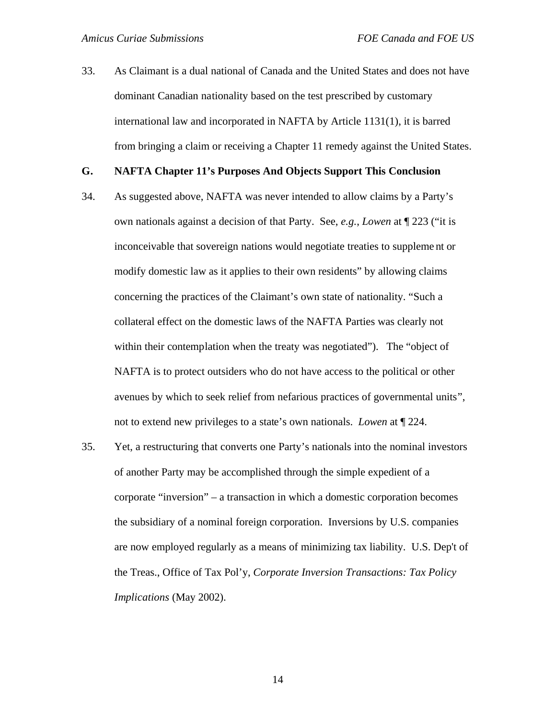33. As Claimant is a dual national of Canada and the United States and does not have dominant Canadian nationality based on the test prescribed by customary international law and incorporated in NAFTA by Article 1131(1), it is barred from bringing a claim or receiving a Chapter 11 remedy against the United States.

#### **G. NAFTA Chapter 11's Purposes And Objects Support This Conclusion**

- 34. As suggested above, NAFTA was never intended to allow claims by a Party's own nationals against a decision of that Party. See, *e.g.*, *Lowen* at ¶ 223 ("it is inconceivable that sovereign nations would negotiate treaties to suppleme nt or modify domestic law as it applies to their own residents" by allowing claims concerning the practices of the Claimant's own state of nationality. "Such a collateral effect on the domestic laws of the NAFTA Parties was clearly not within their contemplation when the treaty was negotiated"). The "object of NAFTA is to protect outsiders who do not have access to the political or other avenues by which to seek relief from nefarious practices of governmental units", not to extend new privileges to a state's own nationals. *Lowen* at ¶ 224.
- 35. Yet, a restructuring that converts one Party's nationals into the nominal investors of another Party may be accomplished through the simple expedient of a corporate "inversion" – a transaction in which a domestic corporation becomes the subsidiary of a nominal foreign corporation. Inversions by U.S. companies are now employed regularly as a means of minimizing tax liability. U.S. Dep't of the Treas., Office of Tax Pol'y, *Corporate Inversion Transactions: Tax Policy Implications* (May 2002).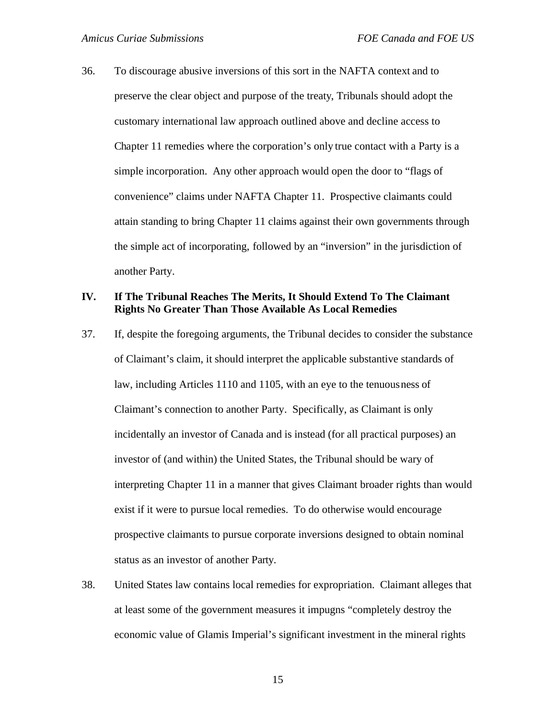36. To discourage abusive inversions of this sort in the NAFTA context and to preserve the clear object and purpose of the treaty, Tribunals should adopt the customary international law approach outlined above and decline access to Chapter 11 remedies where the corporation's only true contact with a Party is a simple incorporation. Any other approach would open the door to "flags of convenience" claims under NAFTA Chapter 11. Prospective claimants could attain standing to bring Chapter 11 claims against their own governments through the simple act of incorporating, followed by an "inversion" in the jurisdiction of another Party.

#### **IV. If The Tribunal Reaches The Merits, It Should Extend To The Claimant Rights No Greater Than Those Available As Local Remedies**

- 37. If, despite the foregoing arguments, the Tribunal decides to consider the substance of Claimant's claim, it should interpret the applicable substantive standards of law, including Articles 1110 and 1105, with an eye to the tenuousness of Claimant's connection to another Party. Specifically, as Claimant is only incidentally an investor of Canada and is instead (for all practical purposes) an investor of (and within) the United States, the Tribunal should be wary of interpreting Chapter 11 in a manner that gives Claimant broader rights than would exist if it were to pursue local remedies. To do otherwise would encourage prospective claimants to pursue corporate inversions designed to obtain nominal status as an investor of another Party.
- 38. United States law contains local remedies for expropriation. Claimant alleges that at least some of the government measures it impugns "completely destroy the economic value of Glamis Imperial's significant investment in the mineral rights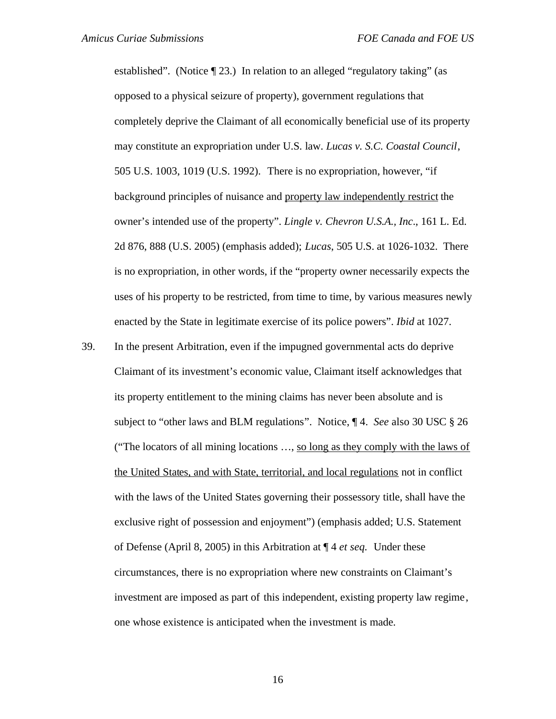established". (Notice ¶ 23.) In relation to an alleged "regulatory taking" (as opposed to a physical seizure of property), government regulations that completely deprive the Claimant of all economically beneficial use of its property may constitute an expropriation under U.S. law. *Lucas v. S.C. Coastal Council*, 505 U.S. 1003, 1019 (U.S. 1992).There is no expropriation, however, "if background principles of nuisance and property law independently restrict the owner's intended use of the property". *Lingle v. Chevron U.S.A., Inc*., 161 L. Ed. 2d 876, 888 (U.S. 2005) (emphasis added); *Lucas*, 505 U.S. at 1026-1032. There is no expropriation, in other words, if the "property owner necessarily expects the uses of his property to be restricted, from time to time, by various measures newly enacted by the State in legitimate exercise of its police powers". *Ibid* at 1027.

39. In the present Arbitration, even if the impugned governmental acts do deprive Claimant of its investment's economic value, Claimant itself acknowledges that its property entitlement to the mining claims has never been absolute and is subject to "other laws and BLM regulations". Notice, ¶ 4. *See* also 30 USC § 26 ("The locators of all mining locations …, so long as they comply with the laws of the United States, and with State, territorial, and local regulations not in conflict with the laws of the United States governing their possessory title, shall have the exclusive right of possession and enjoyment") (emphasis added; U.S. Statement of Defense (April 8, 2005) in this Arbitration at ¶ 4 *et seq.* Under these circumstances, there is no expropriation where new constraints on Claimant's investment are imposed as part of this independent, existing property law regime, one whose existence is anticipated when the investment is made.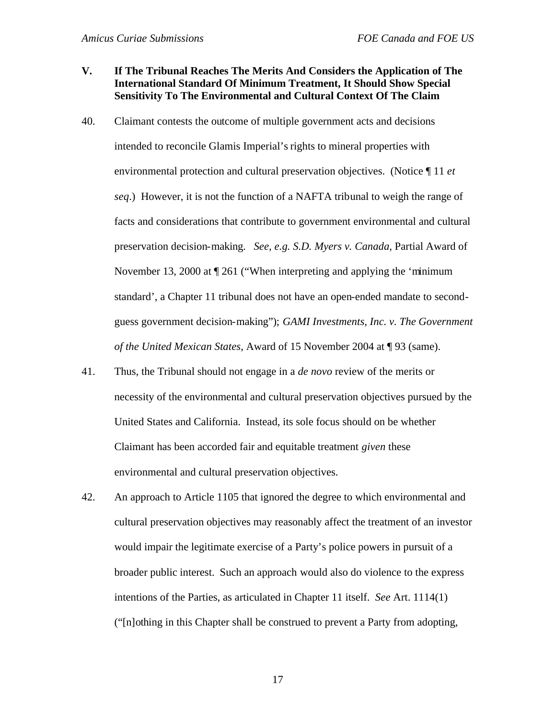#### **V. If The Tribunal Reaches The Merits And Considers the Application of The International Standard Of Minimum Treatment, It Should Show Special Sensitivity To The Environmental and Cultural Context Of The Claim**

- 40. Claimant contests the outcome of multiple government acts and decisions intended to reconcile Glamis Imperial's rights to mineral properties with environmental protection and cultural preservation objectives. (Notice ¶ 11 *et seq*.) However, it is not the function of a NAFTA tribunal to weigh the range of facts and considerations that contribute to government environmental and cultural preservation decision-making. *See, e.g. S.D. Myers v. Canada*, Partial Award of November 13, 2000 at  $\P$  261 ("When interpreting and applying the 'minimum standard', a Chapter 11 tribunal does not have an open-ended mandate to secondguess government decision-making"); *GAMI Investments, Inc. v. The Government of the United Mexican States*, Award of 15 November 2004 at ¶ 93 (same).
- 41. Thus, the Tribunal should not engage in a *de novo* review of the merits or necessity of the environmental and cultural preservation objectives pursued by the United States and California. Instead, its sole focus should on be whether Claimant has been accorded fair and equitable treatment *given* these environmental and cultural preservation objectives.
- 42. An approach to Article 1105 that ignored the degree to which environmental and cultural preservation objectives may reasonably affect the treatment of an investor would impair the legitimate exercise of a Party's police powers in pursuit of a broader public interest. Such an approach would also do violence to the express intentions of the Parties, as articulated in Chapter 11 itself. *See* Art. 1114(1) ("[n]othing in this Chapter shall be construed to prevent a Party from adopting,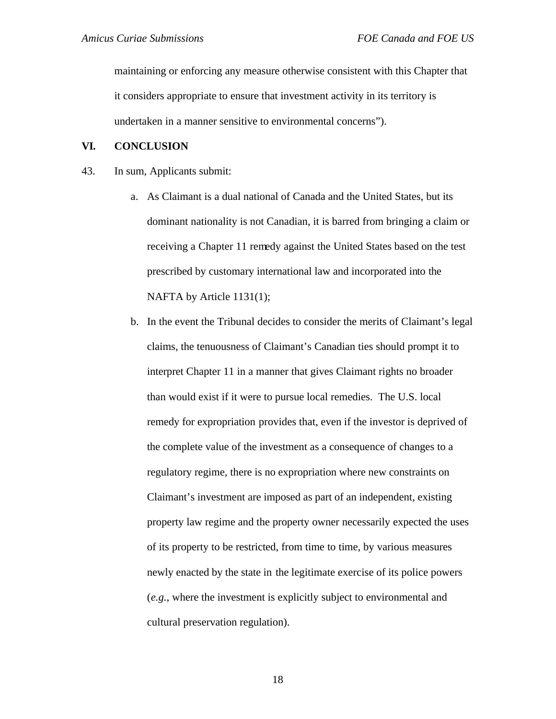maintaining or enforcing any measure otherwise consistent with this Chapter that it considers appropriate to ensure that investment activity in its territory is undertaken in a manner sensitive to environmental concerns").

#### **VI. CONCLUSION**

- 43. In sum, Applicants submit:
	- a. As Claimant is a dual national of Canada and the United States, but its dominant nationality is not Canadian, it is barred from bringing a claim or receiving a Chapter 11 remedy against the United States based on the test prescribed by customary international law and incorporated into the NAFTA by Article 1131(1);
	- b. In the event the Tribunal decides to consider the merits of Claimant's legal claims, the tenuousness of Claimant's Canadian ties should prompt it to interpret Chapter 11 in a manner that gives Claimant rights no broader than would exist if it were to pursue local remedies. The U.S. local remedy for expropriation provides that, even if the investor is deprived of the complete value of the investment as a consequence of changes to a regulatory regime, there is no expropriation where new constraints on Claimant's investment are imposed as part of an independent, existing property law regime and the property owner necessarily expected the uses of its property to be restricted, from time to time, by various measures newly enacted by the state in the legitimate exercise of its police powers (*e.g.*, where the investment is explicitly subject to environmental and cultural preservation regulation).